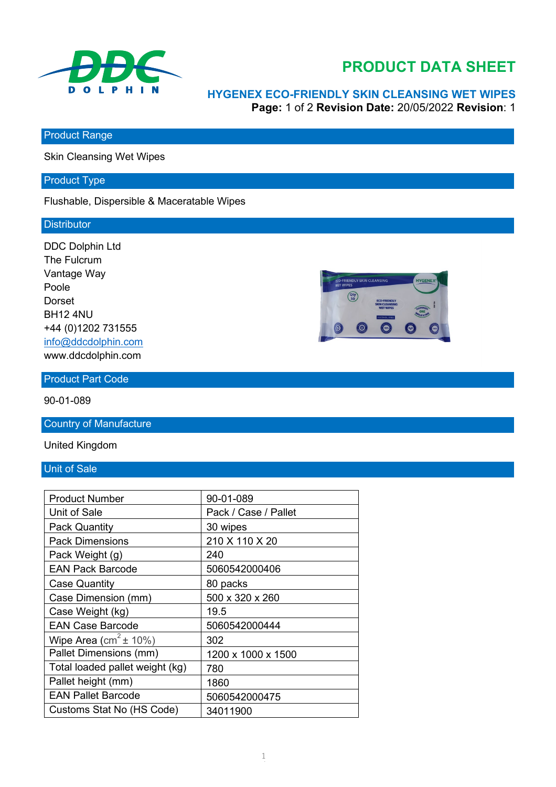

# **PRODUCT DATA SHEET**

# **HYGENEX ECO-FRIENDLY SKIN CLEANSING WET WIPES**

**Page:** 1 of 2 **Revision Date:** 20/05/2022 **Revision**: 1

# Product Range

Skin Cleansing Wet Wipes

# Product Type

Flushable, Dispersible & Maceratable Wipes

### **Distributor**

DDC Dolphin Ltd The Fulcrum Vantage Way Poole Dorset BH12 4NU +44 (0)1202 731555 [info@ddcdolphin.com](mailto:info@ddcdolphin.com) www.ddcdolphin.com



# Product Part Code

90-01-089

Country of Manufacture

United Kingdom

### Unit of Sale

| <b>Product Number</b>             | 90-01-089            |
|-----------------------------------|----------------------|
| Unit of Sale                      | Pack / Case / Pallet |
| <b>Pack Quantity</b>              | 30 wipes             |
| <b>Pack Dimensions</b>            | 210 X 110 X 20       |
| Pack Weight (g)                   | 240                  |
| <b>EAN Pack Barcode</b>           | 5060542000406        |
| <b>Case Quantity</b>              | 80 packs             |
| Case Dimension (mm)               | 500 x 320 x 260      |
| Case Weight (kg)                  | 19.5                 |
| <b>EAN Case Barcode</b>           | 5060542000444        |
| Wipe Area (cm <sup>2</sup> ± 10%) | 302                  |
| Pallet Dimensions (mm)            | 1200 x 1000 x 1500   |
| Total loaded pallet weight (kg)   | 780                  |
| Pallet height (mm)                | 1860                 |
| <b>EAN Pallet Barcode</b>         | 5060542000475        |
| Customs Stat No (HS Code)         | 34011900             |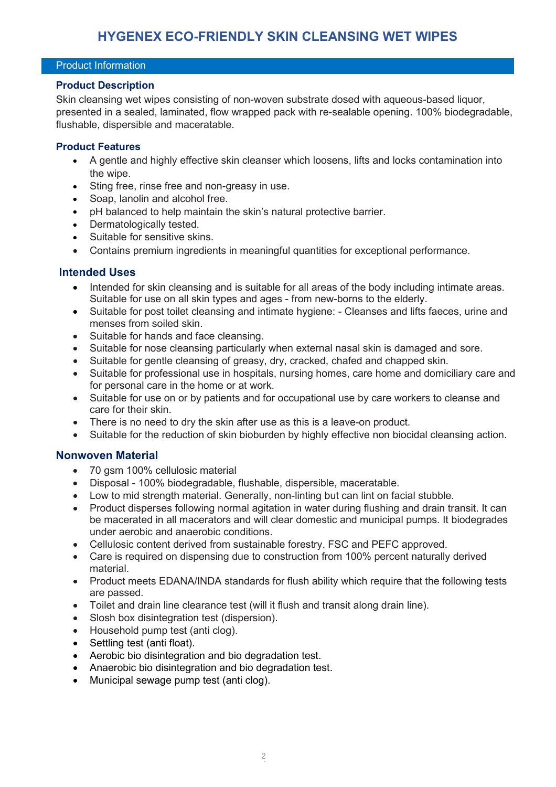# Product Information

### **Product Description**

Skin cleansing wet wipes consisting of non-woven substrate dosed with aqueous-based liquor, presented in a sealed, laminated, flow wrapped pack with re-sealable opening. 100% biodegradable, flushable, dispersible and maceratable.

### **Product Features**

- A gentle and highly effective skin cleanser which loosens, lifts and locks contamination into the wipe.
- Sting free, rinse free and non-greasy in use.
- Soap, lanolin and alcohol free.
- pH balanced to help maintain the skin's natural protective barrier.
- Dermatologically tested.
- Suitable for sensitive skins.
- Contains premium ingredients in meaningful quantities for exceptional performance.

# **Intended Uses**

- Intended for skin cleansing and is suitable for all areas of the body including intimate areas. Suitable for use on all skin types and ages - from new-borns to the elderly.
- Suitable for post toilet cleansing and intimate hygiene: Cleanses and lifts faeces, urine and menses from soiled skin.
- Suitable for hands and face cleansing.
- Suitable for nose cleansing particularly when external nasal skin is damaged and sore.
- Suitable for gentle cleansing of greasy, dry, cracked, chafed and chapped skin.
- Suitable for professional use in hospitals, nursing homes, care home and domiciliary care and for personal care in the home or at work.
- Suitable for use on or by patients and for occupational use by care workers to cleanse and care for their skin.
- There is no need to dry the skin after use as this is a leave-on product.
- Suitable for the reduction of skin bioburden by highly effective non biocidal cleansing action.

# **Nonwoven Material**

- 70 gsm 100% cellulosic material
- Disposal 100% biodegradable, flushable, dispersible, maceratable.
- Low to mid strength material. Generally, non-linting but can lint on facial stubble.
- Product disperses following normal agitation in water during flushing and drain transit. It can be macerated in all macerators and will clear domestic and municipal pumps. It biodegrades under aerobic and anaerobic conditions.
- Cellulosic content derived from sustainable forestry. FSC and PEFC approved.
- Care is required on dispensing due to construction from 100% percent naturally derived material.
- Product meets EDANA/INDA standards for flush ability which require that the following tests are passed.
- Toilet and drain line clearance test (will it flush and transit along drain line).
- Slosh box disintegration test (dispersion).
- Household pump test (anti clog).
- Settling test (anti float).
- Aerobic bio disintegration and bio degradation test.
- Anaerobic bio disintegration and bio degradation test.
- Municipal sewage pump test (anti clog).